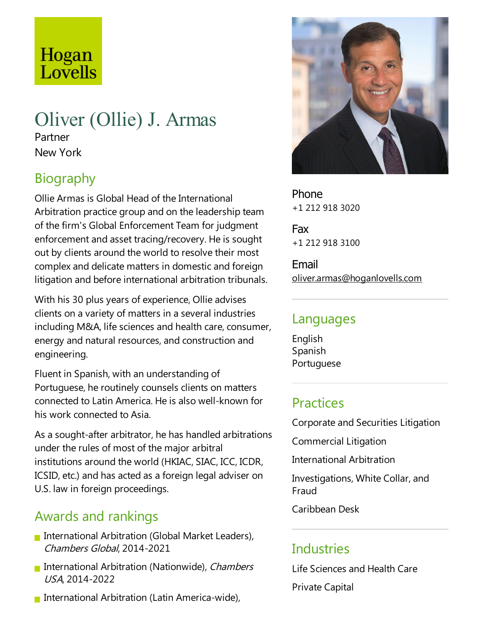# Hogan Lovells

# Oliver (Ollie) J. Armas

Partner New York

# Biography

Ollie Armas is Global Head of the International Arbitration practice group and on the leadership team of the firm's Global Enforcement Team for judgment enforcement and asset tracing/recovery. He is sought out by clients around the world to resolve their most complex and delicate matters in domestic and foreign litigation and before international arbitration tribunals.

With his 30 plus years of experience, Ollie advises clients on avariety of matters in aseveral industries including M&A, life sciences and health care, consumer, energy and natural resources, and construction and engineering.

Fluent in Spanish, with an understanding of Portuguese, he routinely counsels clients on matters connected to Latin America. Heis also well-known for his work connected to Asia.

As a sought-after arbitrator, he has handled arbitrations under the rules of most of the major arbitral institutions around the world (HKIAC, SIAC, ICC, ICDR, ICSID, etc.) and has acted as a foreign legal adviser on U.S. law in foreign proceedings.

# Awards and rankings

- International Arbitration (Global Market Leaders), Chambers Global, 2014-2021
- **International Arbitration (Nationwide), Chambers** USA, 2014-2022
- International Arbitration (Latin America-wide),



Phone +1 212 918 3020

Fax +1 212 918 3100

Email oliver.armas@hoganlovells.com

# Languages

English Spanish Portuguese

# **Practices**

Corporate and Securities Litigation

Commercial Litigation

International Arbitration

Investigations, White Collar, and Fraud

Caribbean Desk

# Industries

Life Sciences and Health Care

Private Capital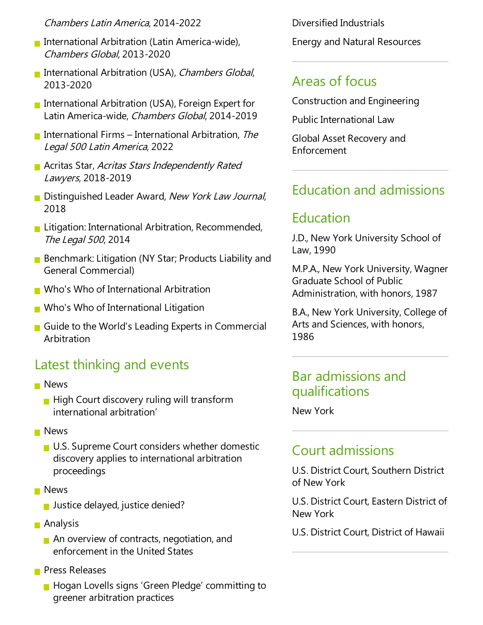#### Chambers Latin America, 2014-2022

- International Arbitration (Latin America-wide), Chambers Global, 2013-2020
- **International Arbitration (USA), Chambers Global,** 2013-2020
- International Arbitration (USA), Foreign Expert for Latin America-wide, Chambers Global, 2014-2019
- International Firms International Arbitration, The Legal <sup>500</sup> Latin America, 2022
- **Acritas Star, Acritas Stars Independently Rated** Lawyers, 2018-2019
- Distinguished Leader Award, New York Law Journal, 2018
- **Litigation: International Arbitration, Recommended,** The Legal 500, 2014
- Benchmark: Litigation (NY Star; Products Liability and General Commercial)
- **Nota** Who of International Arbitration
- **No's Who of International Litigation**
- Guide to the World's Leading Experts in Commercial Arbitration

# Latest thinking and events

- **News** 
	- $\blacksquare$  High Court discovery ruling will transform international arbitration'
- **News** 
	- $\blacksquare$  U.S. Supreme Court considers whether domestic discovery applies to international arbitration proceedings
- **News** 
	- **Justice delayed, justice denied?**
- **Analysis** 
	- $\blacksquare$  An overview of contracts, negotiation, and enforcement in the United States
- **Press Releases** 
	- **Hogan Lovells signs 'Green Pledge' committing to** greener arbitration practices

Diversified Industrials Energy and Natural Resources

# Areas of focus

Construction and Engineering

Public International Law

Global Asset Recovery and Enforcement

# Education and admissions

# Education

J.D., New York University School of Law, 1990

M.P.A., New York University, Wagner Graduate School of Public Administration, with honors, 1987

B.A., New York University, College of Arts and Sciences, with honors, 1986

### Bar admissions and qualifications

New York

### Court admissions

U.S. District Court, Southern District of New York

U.S. District Court, Eastern District of New York

U.S. District Court, District of Hawaii